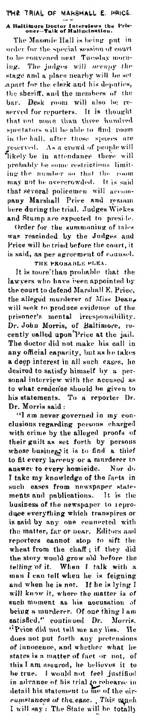## THE TRIAL OF MARSHALL E. PRICE. A Baltimore Doctor Interviews the Pris-<br>oner--Talk of Hallucination.

The Masonic Hall is being put in order for the special session of court to be convened next Tuesday morning. The judges will occupy the stage and a place nearby will be set apart for the clerk and his deputies, the sheriff, and the members of the<br>bar. Desk room will also be reserved for reporters. It is thought<br>that not more than three hundred<br>spectators will be able to find room in the hall, after these spaces are<br>reserved. As a crowd of people will<br>likely be in attendance there will probably be some restrictions limiting the number so that the room that several policemen will accom-<br>pany Marshall Price and remain here during the trial. Judges Wickes and Stump are expected to preside. Order for the summoning of tales<br>was rescinded by the Judges and<br>Price will be tried before the court, it<br>is said, as per agreement of counsel.

THE PROBABLE PLEA.<br>It is more than probable that the lawyers who have been appointed by the court to defend Marshall E. Price, the alleged murderer of Miss Dean, will seek to produce evidence of the with seak to produce evidence of the<br>prisoner's mental irresponsibility.<br>Dr. John Morris, of Baltimore, re-<br>cently called upon Price at the jail.<br>The doctor did not make his call in<br>any official capacity, but as he takes a deep interest in all such cases, he desired to satisfy himself by a personal interview with the accused as to what credence should be given to<br>his statements. To a reporter Dr. Dr. Morris said:

Dr. Morris said:<br>
"I am never governed in my conclusions regarding persons charged<br>
with crime by the alleged proofs of<br>
their guilt as set forth by persons<br>
whose business it is to find a thief<br>
to fit every largenty or a answer to every homicide. Nor do I take my knowledge of the facts in such cases from newspaper state-<br>ments and publications. It is the<br>business of the newspaper to reproduce everything which transpires or is said by any one connected with is said by any one connected with<br>the matter, far or near. Editors and<br>reporters cannot stop to sift the<br>wheat from the chaff; if they did<br>the story would grow old before the<br>telling of it. When I talk with a<br>man I can tel being a murderer. Of one thing I am satisfied," continued Dr. Morris.<br>"Price did not tell me any lies. He Trice and not ten me any nes. The<br>does not put forth any pretensions<br>of innocence, and whether what he<br>states is a matter of fact or not, of<br>this I am assured, he believes it to<br>be true. I would not feel justified<br>in advan cumstances of the ease. This squeh I will say: The State will be totally